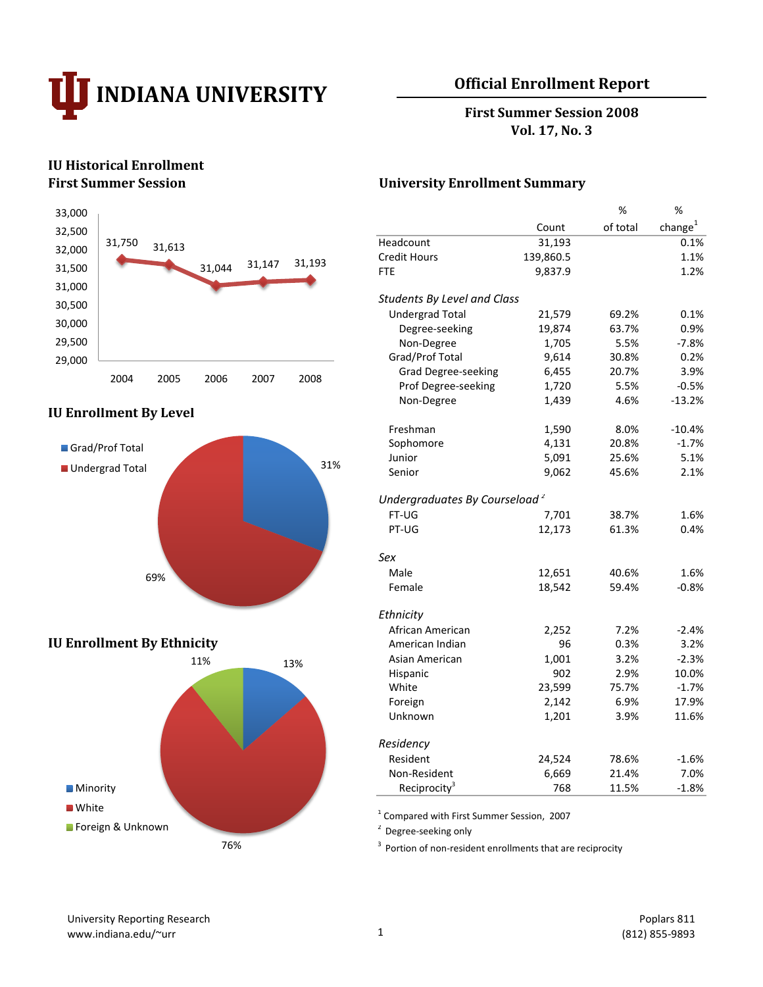

# **Official Enrollment Report**

**First Summer Session 2008 Vol. 17, No. 3**

# **IU Historical Enrollment**



#### **IU Enrollment By Level**



#### **IU Enrollment By Ethnicity**



#### **First Summer Session University Enrollment Summary**

|                                           |           | %        | %                   |
|-------------------------------------------|-----------|----------|---------------------|
|                                           | Count     | of total | change <sup>1</sup> |
| Headcount                                 | 31,193    |          | 0.1%                |
| <b>Credit Hours</b>                       | 139,860.5 |          | 1.1%                |
| <b>FTE</b>                                | 9,837.9   |          | 1.2%                |
| <b>Students By Level and Class</b>        |           |          |                     |
| <b>Undergrad Total</b>                    | 21,579    | 69.2%    | 0.1%                |
| Degree-seeking                            | 19,874    | 63.7%    | 0.9%                |
| Non-Degree                                | 1,705     | 5.5%     | $-7.8%$             |
| Grad/Prof Total                           | 9,614     | 30.8%    | 0.2%                |
| <b>Grad Degree-seeking</b>                | 6,455     | 20.7%    | 3.9%                |
| Prof Degree-seeking                       | 1,720     | 5.5%     | $-0.5%$             |
| Non-Degree                                | 1,439     | 4.6%     | -13.2%              |
| Freshman                                  | 1,590     | 8.0%     | $-10.4%$            |
| Sophomore                                 | 4,131     | 20.8%    | $-1.7%$             |
| Junior                                    | 5,091     | 25.6%    | 5.1%                |
| Senior                                    | 9,062     | 45.6%    | 2.1%                |
| Undergraduates By Courseload <sup>2</sup> |           |          |                     |
| FT-UG                                     | 7,701     | 38.7%    | 1.6%                |
| PT-UG                                     | 12,173    | 61.3%    | 0.4%                |
| Sex                                       |           |          |                     |
| Male                                      | 12,651    | 40.6%    | 1.6%                |
| Female                                    | 18,542    | 59.4%    | $-0.8%$             |
| Ethnicity                                 |           |          |                     |
| African American                          | 2,252     | 7.2%     | $-2.4%$             |
| American Indian                           | 96        | 0.3%     | 3.2%                |
| Asian American                            | 1,001     | 3.2%     | $-2.3%$             |
| Hispanic                                  | 902       | 2.9%     | 10.0%               |
| White                                     | 23,599    | 75.7%    | $-1.7%$             |
| Foreign                                   | 2,142     | 6.9%     | 17.9%               |
| Unknown                                   | 1,201     | 3.9%     | 11.6%               |
| Residency                                 |           |          |                     |
| Resident                                  | 24,524    | 78.6%    | $-1.6%$             |
| Non-Resident                              | 6,669     | 21.4%    | 7.0%                |
| Reciprocity <sup>3</sup>                  | 768       | 11.5%    | $-1.8%$             |

1 Compared with First Summer Session, 2007

 $2$  Degree-seeking only

 $3$  Portion of non-resident enrollments that are reciprocity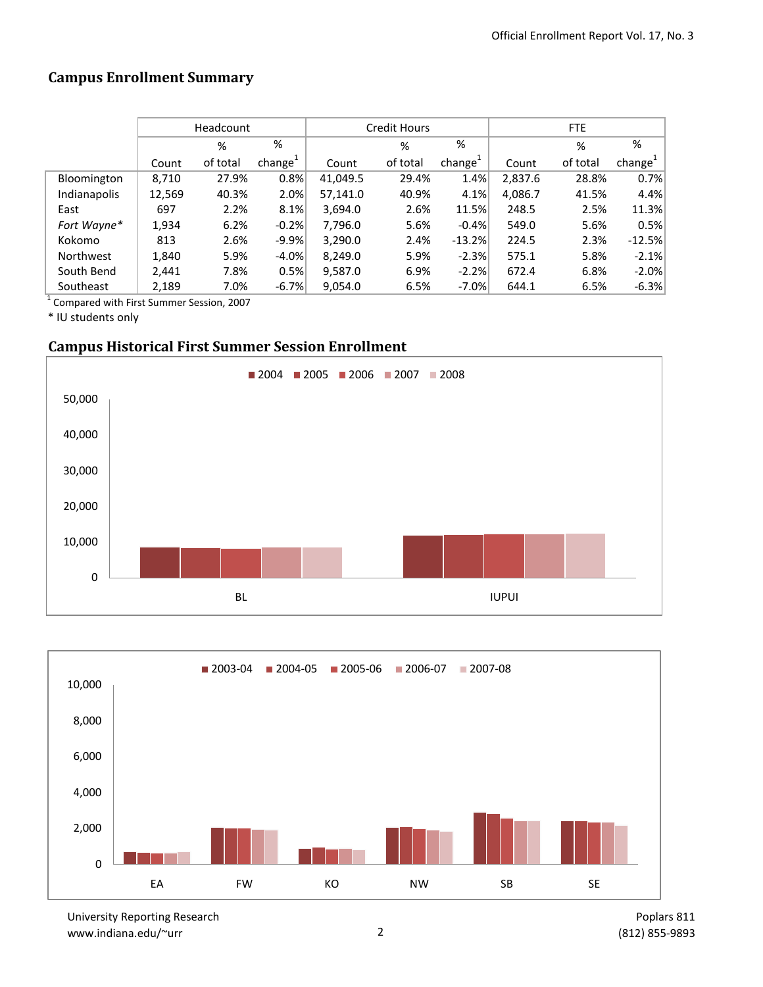# **Campus Enrollment Summary**

|              |        | Headcount |                     |          | <b>Credit Hours</b> |                     | FTE     |          |                     |  |
|--------------|--------|-----------|---------------------|----------|---------------------|---------------------|---------|----------|---------------------|--|
|              |        | %         | %                   |          | %                   | %                   |         | %        | %                   |  |
|              | Count  | of total  | change <sup>+</sup> | Count    | of total            | change <sup>+</sup> | Count   | of total | change <sup>1</sup> |  |
| Bloomington  | 8,710  | 27.9%     | 0.8%                | 41,049.5 | 29.4%               | 1.4%                | 2,837.6 | 28.8%    | 0.7%                |  |
| Indianapolis | 12,569 | 40.3%     | 2.0%                | 57,141.0 | 40.9%               | 4.1%                | 4,086.7 | 41.5%    | 4.4%                |  |
| East         | 697    | 2.2%      | 8.1%                | 3,694.0  | 2.6%                | 11.5%               | 248.5   | 2.5%     | 11.3%               |  |
| Fort Wayne*  | 1,934  | 6.2%      | $-0.2%$             | 7,796.0  | 5.6%                | $-0.4%$             | 549.0   | 5.6%     | 0.5%                |  |
| Kokomo       | 813    | 2.6%      | $-9.9%$             | 3,290.0  | 2.4%                | $-13.2%$            | 224.5   | 2.3%     | $-12.5%$            |  |
| Northwest    | 1,840  | 5.9%      | $-4.0\%$            | 8,249.0  | 5.9%                | $-2.3%$             | 575.1   | 5.8%     | $-2.1%$             |  |
| South Bend   | 2,441  | 7.8%      | 0.5%                | 9,587.0  | 6.9%                | $-2.2%$             | 672.4   | 6.8%     | $-2.0%$             |  |
| Southeast    | 2,189  | 7.0%      | $-6.7%$             | 9,054.0  | 6.5%                | $-7.0%$             | 644.1   | 6.5%     | $-6.3%$             |  |

1 Compared with First Summer Session, 2007

\* IU students only

# **Campus Historical First Summer Session Enrollment**





University Reporting Research www.indiana.edu/~urr 2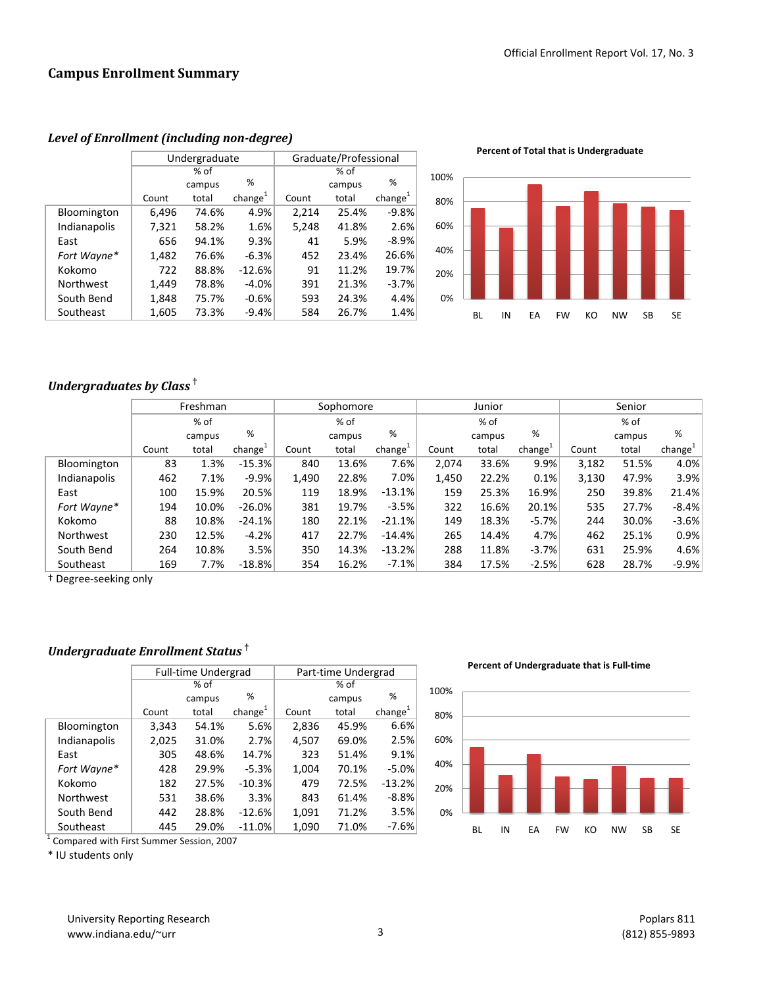|                  |       | Undergraduate |                     | Graduate/Professional |        |                     |  |  |
|------------------|-------|---------------|---------------------|-----------------------|--------|---------------------|--|--|
|                  |       | $%$ of        |                     |                       | % of   |                     |  |  |
|                  |       | campus        | %                   |                       | campus | %                   |  |  |
|                  | Count | total         | change <sup>1</sup> | Count                 | total  | change <sup>1</sup> |  |  |
| Bloomington      | 6,496 | 74.6%         | 4.9%                | 2,214                 | 25.4%  | $-9.8%$             |  |  |
| Indianapolis     | 7,321 | 58.2%         | 1.6%                | 5,248                 | 41.8%  | 2.6%                |  |  |
| East             | 656   | 94.1%         | 9.3%                | 41                    | 5.9%   | $-8.9%$             |  |  |
| Fort Wayne*      | 1,482 | 76.6%         | $-6.3%$             | 452                   | 23.4%  | 26.6%               |  |  |
| Kokomo           | 722   | 88.8%         | $-12.6%$            | 91                    | 11.2%  | 19.7%               |  |  |
| <b>Northwest</b> | 1,449 | 78.8%         | $-4.0%$             | 391                   | 21.3%  | $-3.7%$             |  |  |
| South Bend       | 1,848 | 75.7%         | $-0.6%$             | 593                   | 24.3%  | 4.4%                |  |  |
| Southeast        | 1,605 | 73.3%         | $-9.4%$             | 584                   | 26.7%  | 1.4%                |  |  |

*Level of Enrollment (including non-degree)*

**Percent of Total that is Undergraduate**



# *Undergraduates by Class* **†**

|              | Freshman |        |                     |       | Sophomore |                     | Junior |        |                     | Senior |        |                     |
|--------------|----------|--------|---------------------|-------|-----------|---------------------|--------|--------|---------------------|--------|--------|---------------------|
|              |          | % of   |                     |       | % of      |                     |        | % of   |                     | % of   |        |                     |
|              |          | campus | %                   |       | campus    | %                   |        | campus | %                   |        | campus | %                   |
|              | Count    | total  | change <sup>+</sup> | Count | total     | change <sup>+</sup> | Count  | total  | change <sup>+</sup> | Count  | total  | change <sup>+</sup> |
| Bloomington  | 83       | 1.3%   | $-15.3%$            | 840   | 13.6%     | 7.6%                | 2,074  | 33.6%  | 9.9%                | 3,182  | 51.5%  | 4.0%                |
| Indianapolis | 462      | 7.1%   | $-9.9%$             | 1,490 | 22.8%     | 7.0%                | 1,450  | 22.2%  | 0.1%                | 3,130  | 47.9%  | 3.9%                |
| East         | 100      | 15.9%  | 20.5%               | 119   | 18.9%     | $-13.1%$            | 159    | 25.3%  | 16.9%               | 250    | 39.8%  | 21.4%               |
| Fort Wayne*  | 194      | 10.0%  | $-26.0%$            | 381   | 19.7%     | $-3.5%$             | 322    | 16.6%  | 20.1%               | 535    | 27.7%  | $-8.4%$             |
| Kokomo       | 88       | 10.8%  | $-24.1%$            | 180   | 22.1%     | $-21.1%$            | 149    | 18.3%  | $-5.7%$             | 244    | 30.0%  | $-3.6%$             |
| Northwest    | 230      | 12.5%  | $-4.2%$             | 417   | 22.7%     | $-14.4%$            | 265    | 14.4%  | 4.7%                | 462    | 25.1%  | 0.9%                |
| South Bend   | 264      | 10.8%  | 3.5%                | 350   | 14.3%     | $-13.2%$            | 288    | 11.8%  | $-3.7%$             | 631    | 25.9%  | 4.6%                |
| Southeast    | 169      | 7.7%   | $-18.8%$            | 354   | 16.2%     | $-7.1%$             | 384    | 17.5%  | $-2.5%$             | 628    | 28.7%  | $-9.9%$             |

† Degree-seeking only

# *Undergraduate Enrollment Status* **†**

|              |       | <b>Full-time Undergrad</b> |                     | Part-time Undergrad |        |                     |  |  |
|--------------|-------|----------------------------|---------------------|---------------------|--------|---------------------|--|--|
|              |       | % of                       |                     | % of                |        |                     |  |  |
|              |       | campus                     | %                   |                     | campus | %                   |  |  |
|              | Count | total                      | change <sup>1</sup> | Count               | total  | change <sup>1</sup> |  |  |
| Bloomington  | 3,343 | 54.1%                      | 5.6%                | 2,836               | 45.9%  | 6.6%                |  |  |
| Indianapolis | 2,025 | 31.0%                      | 2.7%                | 4,507               | 69.0%  | 2.5%                |  |  |
| East         | 305   | 48.6%                      | 14.7%               | 323                 | 51.4%  | 9.1%                |  |  |
| Fort Wayne*  | 428   | 29.9%                      | $-5.3%$             | 1,004               | 70.1%  | $-5.0%$             |  |  |
| Kokomo       | 182   | 27.5%                      | $-10.3%$            | 479                 | 72.5%  | $-13.2%$            |  |  |
| Northwest    | 531   | 38.6%                      | 3.3%                | 843                 | 61.4%  | $-8.8%$             |  |  |
| South Bend   | 442   | 28.8%                      | $-12.6%$            | 1,091               | 71.2%  | 3.5%                |  |  |
| Southeast    | 445   | 29.0%                      | $-11.0%$            | 1,090               | 71.0%  | -7.6%               |  |  |

<sup>1</sup> Compared with First Summer Session, 2007

\* IU students only

**Percent of Undergraduate that is Full-time**